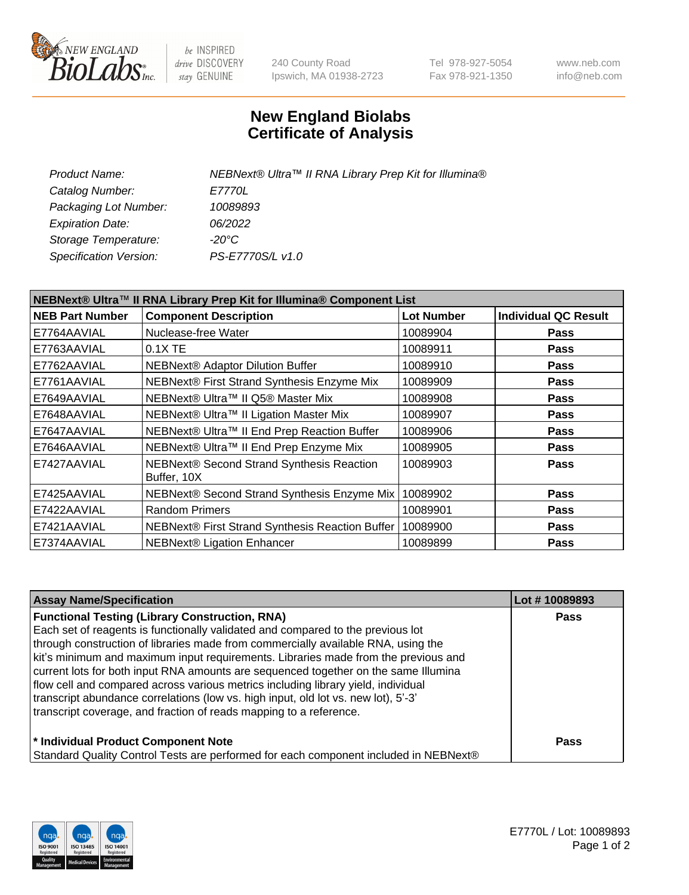

be INSPIRED drive DISCOVERY stay GENUINE

240 County Road Ipswich, MA 01938-2723 Tel 978-927-5054 Fax 978-921-1350 www.neb.com info@neb.com

## **New England Biolabs Certificate of Analysis**

| NEBNext® Ultra™ II RNA Library Prep Kit for Illumina® |
|-------------------------------------------------------|
| <i>E7770L</i>                                         |
| 10089893                                              |
| 06/2022                                               |
| $-20^{\circ}$ C                                       |
| PS-E7770S/L v1.0                                      |
|                                                       |

| NEBNext® Ultra™ II RNA Library Prep Kit for Illumina® Component List |                                                            |                   |                             |  |
|----------------------------------------------------------------------|------------------------------------------------------------|-------------------|-----------------------------|--|
| <b>NEB Part Number</b>                                               | <b>Component Description</b>                               | <b>Lot Number</b> | <b>Individual QC Result</b> |  |
| E7764AAVIAL                                                          | Nuclease-free Water                                        | 10089904          | <b>Pass</b>                 |  |
| E7763AAVIAL                                                          | 0.1X TE                                                    | 10089911          | <b>Pass</b>                 |  |
| E7762AAVIAL                                                          | <b>NEBNext® Adaptor Dilution Buffer</b>                    | 10089910          | <b>Pass</b>                 |  |
| E7761AAVIAL                                                          | NEBNext® First Strand Synthesis Enzyme Mix                 | 10089909          | <b>Pass</b>                 |  |
| E7649AAVIAL                                                          | NEBNext® Ultra™ II Q5® Master Mix                          | 10089908          | <b>Pass</b>                 |  |
| E7648AAVIAL                                                          | NEBNext® Ultra™ II Ligation Master Mix                     | 10089907          | <b>Pass</b>                 |  |
| E7647AAVIAL                                                          | NEBNext® Ultra™ II End Prep Reaction Buffer                | 10089906          | <b>Pass</b>                 |  |
| E7646AAVIAL                                                          | NEBNext® Ultra™ II End Prep Enzyme Mix                     | 10089905          | <b>Pass</b>                 |  |
| E7427AAVIAL                                                          | NEBNext® Second Strand Synthesis Reaction<br>Buffer, 10X   | 10089903          | <b>Pass</b>                 |  |
| E7425AAVIAL                                                          | NEBNext® Second Strand Synthesis Enzyme Mix                | 10089902          | <b>Pass</b>                 |  |
| E7422AAVIAL                                                          | <b>Random Primers</b>                                      | 10089901          | <b>Pass</b>                 |  |
| E7421AAVIAL                                                          | NEBNext® First Strand Synthesis Reaction Buffer   10089900 |                   | <b>Pass</b>                 |  |
| E7374AAVIAL                                                          | NEBNext® Ligation Enhancer                                 | 10089899          | <b>Pass</b>                 |  |

| <b>Assay Name/Specification</b>                                                      | Lot #10089893 |
|--------------------------------------------------------------------------------------|---------------|
| <b>Functional Testing (Library Construction, RNA)</b>                                | <b>Pass</b>   |
| Each set of reagents is functionally validated and compared to the previous lot      |               |
| through construction of libraries made from commercially available RNA, using the    |               |
| kit's minimum and maximum input requirements. Libraries made from the previous and   |               |
| current lots for both input RNA amounts are sequenced together on the same Illumina  |               |
| flow cell and compared across various metrics including library yield, individual    |               |
| transcript abundance correlations (low vs. high input, old lot vs. new lot), 5'-3'   |               |
| transcript coverage, and fraction of reads mapping to a reference.                   |               |
| * Individual Product Component Note                                                  | <b>Pass</b>   |
| Standard Quality Control Tests are performed for each component included in NEBNext® |               |